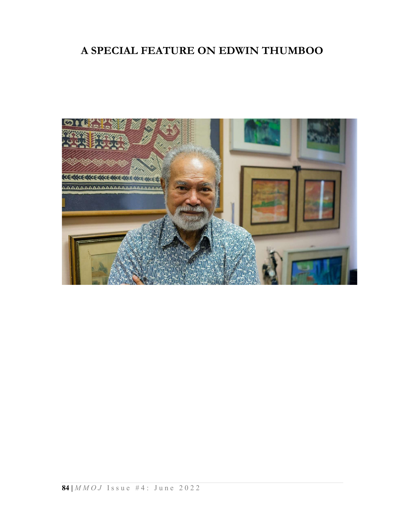## A SPECIAL FEATURE ON EDWIN THUMBOO